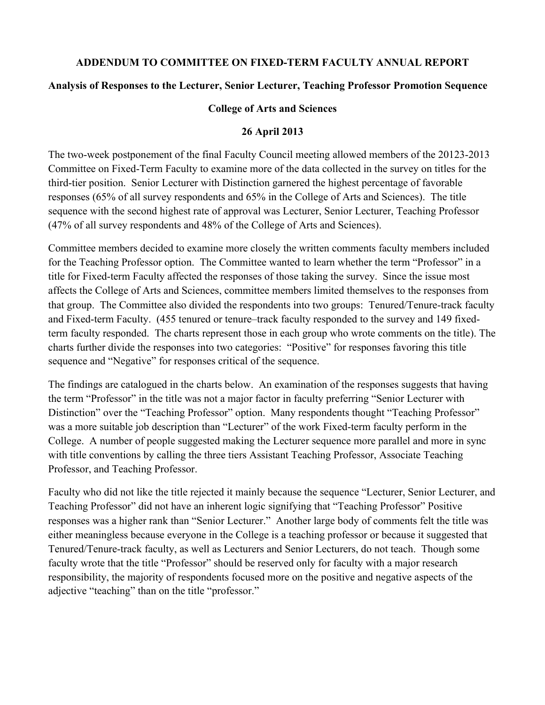## **ADDENDUM TO COMMITTEE ON FIXED-TERM FACULTY ANNUAL REPORT**

## **Analysis of Responses to the Lecturer, Senior Lecturer, Teaching Professor Promotion Sequence**

#### **College of Arts and Sciences**

#### **26 April 2013**

The two-week postponement of the final Faculty Council meeting allowed members of the 20123-2013 Committee on Fixed-Term Faculty to examine more of the data collected in the survey on titles for the third-tier position. Senior Lecturer with Distinction garnered the highest percentage of favorable responses (65% of all survey respondents and 65% in the College of Arts and Sciences). The title sequence with the second highest rate of approval was Lecturer, Senior Lecturer, Teaching Professor (47% of all survey respondents and 48% of the College of Arts and Sciences).

Committee members decided to examine more closely the written comments faculty members included for the Teaching Professor option. The Committee wanted to learn whether the term "Professor" in a title for Fixed-term Faculty affected the responses of those taking the survey. Since the issue most affects the College of Arts and Sciences, committee members limited themselves to the responses from that group. The Committee also divided the respondents into two groups: Tenured/Tenure-track faculty and Fixed-term Faculty. (455 tenured or tenure–track faculty responded to the survey and 149 fixedterm faculty responded. The charts represent those in each group who wrote comments on the title). The charts further divide the responses into two categories: "Positive" for responses favoring this title sequence and "Negative" for responses critical of the sequence.

The findings are catalogued in the charts below. An examination of the responses suggests that having the term "Professor" in the title was not a major factor in faculty preferring "Senior Lecturer with Distinction" over the "Teaching Professor" option. Many respondents thought "Teaching Professor" was a more suitable job description than "Lecturer" of the work Fixed-term faculty perform in the College. A number of people suggested making the Lecturer sequence more parallel and more in sync with title conventions by calling the three tiers Assistant Teaching Professor, Associate Teaching Professor, and Teaching Professor.

Faculty who did not like the title rejected it mainly because the sequence "Lecturer, Senior Lecturer, and Teaching Professor" did not have an inherent logic signifying that "Teaching Professor" Positive responses was a higher rank than "Senior Lecturer." Another large body of comments felt the title was either meaningless because everyone in the College is a teaching professor or because it suggested that Tenured/Tenure-track faculty, as well as Lecturers and Senior Lecturers, do not teach. Though some faculty wrote that the title "Professor" should be reserved only for faculty with a major research responsibility, the majority of respondents focused more on the positive and negative aspects of the adjective "teaching" than on the title "professor."